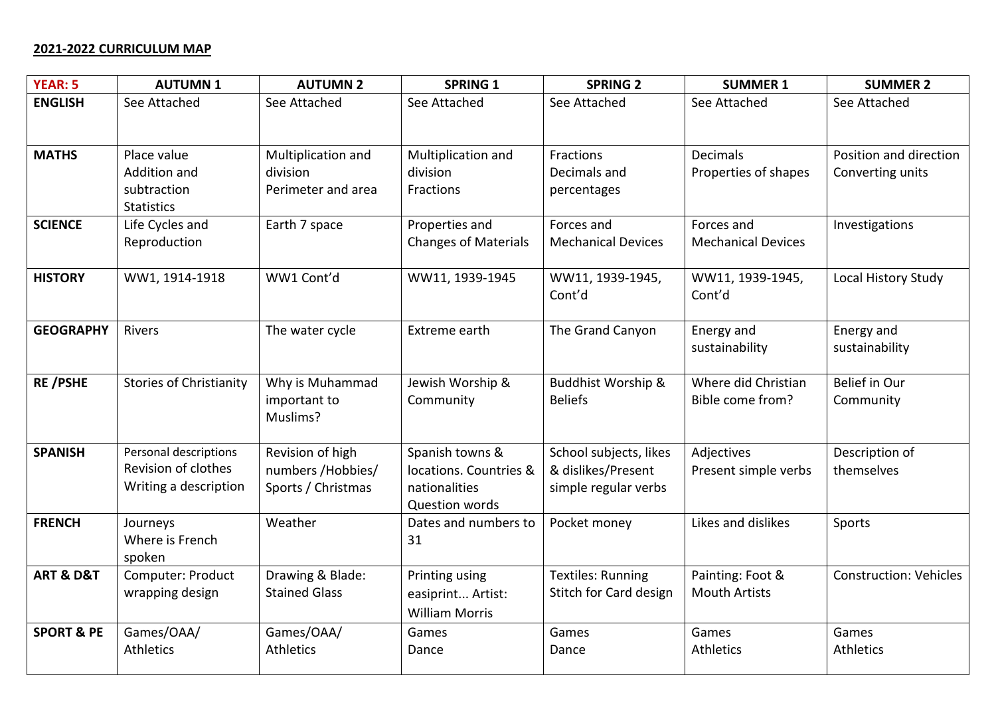## **2021-2022 CURRICULUM MAP**

| <b>YEAR: 5</b>           | <b>AUTUMN1</b>                                                        | <b>AUTUMN 2</b>                                              | <b>SPRING 1</b>                                                              | <b>SPRING 2</b>                                                      | <b>SUMMER 1</b>                          | <b>SUMMER 2</b>                            |
|--------------------------|-----------------------------------------------------------------------|--------------------------------------------------------------|------------------------------------------------------------------------------|----------------------------------------------------------------------|------------------------------------------|--------------------------------------------|
| <b>ENGLISH</b>           | See Attached                                                          | See Attached                                                 | See Attached                                                                 | See Attached                                                         | See Attached                             | See Attached                               |
| <b>MATHS</b>             | Place value<br>Addition and<br>subtraction<br><b>Statistics</b>       | Multiplication and<br>division<br>Perimeter and area         | Multiplication and<br>division<br>Fractions                                  | Fractions<br>Decimals and<br>percentages                             | <b>Decimals</b><br>Properties of shapes  | Position and direction<br>Converting units |
| <b>SCIENCE</b>           | Life Cycles and<br>Reproduction                                       | Earth 7 space                                                | Properties and<br><b>Changes of Materials</b>                                | Forces and<br><b>Mechanical Devices</b>                              | Forces and<br><b>Mechanical Devices</b>  | Investigations                             |
| <b>HISTORY</b>           | WW1, 1914-1918                                                        | WW1 Cont'd                                                   | WW11, 1939-1945                                                              | WW11, 1939-1945,<br>Cont'd                                           | WW11, 1939-1945,<br>Cont'd               | Local History Study                        |
| <b>GEOGRAPHY</b>         | Rivers                                                                | The water cycle                                              | Extreme earth                                                                | The Grand Canyon                                                     | Energy and<br>sustainability             | Energy and<br>sustainability               |
| <b>RE/PSHE</b>           | <b>Stories of Christianity</b>                                        | Why is Muhammad<br>important to<br>Muslims?                  | Jewish Worship &<br>Community                                                | <b>Buddhist Worship &amp;</b><br><b>Beliefs</b>                      | Where did Christian<br>Bible come from?  | Belief in Our<br>Community                 |
| <b>SPANISH</b>           | Personal descriptions<br>Revision of clothes<br>Writing a description | Revision of high<br>numbers / Hobbies/<br>Sports / Christmas | Spanish towns &<br>locations. Countries &<br>nationalities<br>Question words | School subjects, likes<br>& dislikes/Present<br>simple regular verbs | Adjectives<br>Present simple verbs       | Description of<br>themselves               |
| <b>FRENCH</b>            | Journeys<br>Where is French<br>spoken                                 | Weather                                                      | Dates and numbers to<br>31                                                   | Pocket money                                                         | Likes and dislikes                       | Sports                                     |
| <b>ART &amp; D&amp;T</b> | Computer: Product<br>wrapping design                                  | Drawing & Blade:<br><b>Stained Glass</b>                     | Printing using<br>easiprint Artist:<br><b>William Morris</b>                 | <b>Textiles: Running</b><br>Stitch for Card design                   | Painting: Foot &<br><b>Mouth Artists</b> | <b>Construction: Vehicles</b>              |
| <b>SPORT &amp; PE</b>    | Games/OAA/<br><b>Athletics</b>                                        | Games/OAA/<br><b>Athletics</b>                               | Games<br>Dance                                                               | Games<br>Dance                                                       | Games<br>Athletics                       | Games<br>Athletics                         |